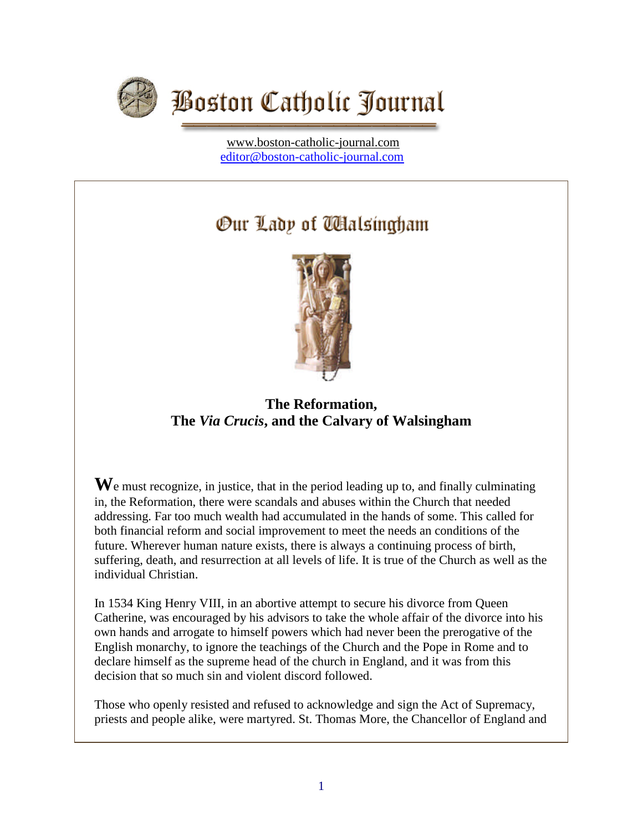

[www.boston-catholic-journal.com](http://www.boston-catholic-journal.com/) [editor@boston-catholic-journal.com](mailto:editor@boston-catholic-journal.com)

# Our Lady of Walsingham



# **The Reformation, The** *Via Crucis***, and the Calvary of Walsingham**

We must recognize, in justice, that in the period leading up to, and finally culminating in, the Reformation, there were scandals and abuses within the Church that needed addressing. Far too much wealth had accumulated in the hands of some. This called for both financial reform and social improvement to meet the needs an conditions of the future. Wherever human nature exists, there is always a continuing process of birth, suffering, death, and resurrection at all levels of life. It is true of the Church as well as the individual Christian.

In 1534 King Henry VIII, in an abortive attempt to secure his divorce from Queen Catherine, was encouraged by his advisors to take the whole affair of the divorce into his own hands and arrogate to himself powers which had never been the prerogative of the English monarchy, to ignore the teachings of the Church and the Pope in Rome and to declare himself as the supreme head of the church in England, and it was from this decision that so much sin and violent discord followed.

Those who openly resisted and refused to acknowledge and sign the Act of Supremacy, priests and people alike, were martyred. St. Thomas More, the Chancellor of England and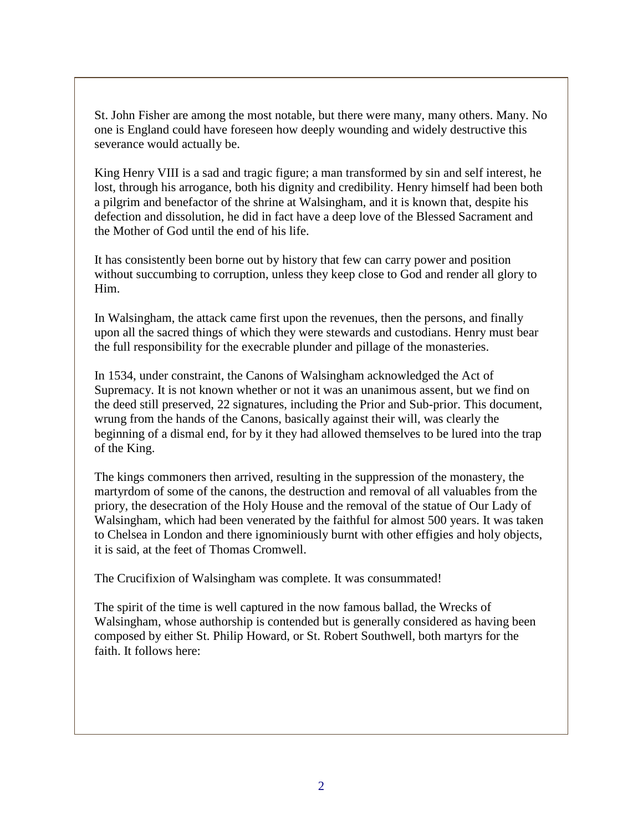St. John Fisher are among the most notable, but there were many, many others. Many. No one is England could have foreseen how deeply wounding and widely destructive this severance would actually be.

King Henry VIII is a sad and tragic figure; a man transformed by sin and self interest, he lost, through his arrogance, both his dignity and credibility. Henry himself had been both a pilgrim and benefactor of the shrine at Walsingham, and it is known that, despite his defection and dissolution, he did in fact have a deep love of the Blessed Sacrament and the Mother of God until the end of his life.

It has consistently been borne out by history that few can carry power and position without succumbing to corruption, unless they keep close to God and render all glory to Him.

In Walsingham, the attack came first upon the revenues, then the persons, and finally upon all the sacred things of which they were stewards and custodians. Henry must bear the full responsibility for the execrable plunder and pillage of the monasteries.

In 1534, under constraint, the Canons of Walsingham acknowledged the Act of Supremacy. It is not known whether or not it was an unanimous assent, but we find on the deed still preserved, 22 signatures, including the Prior and Sub-prior. This document, wrung from the hands of the Canons, basically against their will, was clearly the beginning of a dismal end, for by it they had allowed themselves to be lured into the trap of the King.

The kings commoners then arrived, resulting in the suppression of the monastery, the martyrdom of some of the canons, the destruction and removal of all valuables from the priory, the desecration of the Holy House and the removal of the statue of Our Lady of Walsingham, which had been venerated by the faithful for almost 500 years. It was taken to Chelsea in London and there ignominiously burnt with other effigies and holy objects, it is said, at the feet of Thomas Cromwell.

The Crucifixion of Walsingham was complete. It was consummated!

The spirit of the time is well captured in the now famous ballad, the Wrecks of Walsingham, whose authorship is contended but is generally considered as having been composed by either St. Philip Howard, or St. Robert Southwell, both martyrs for the faith. It follows here: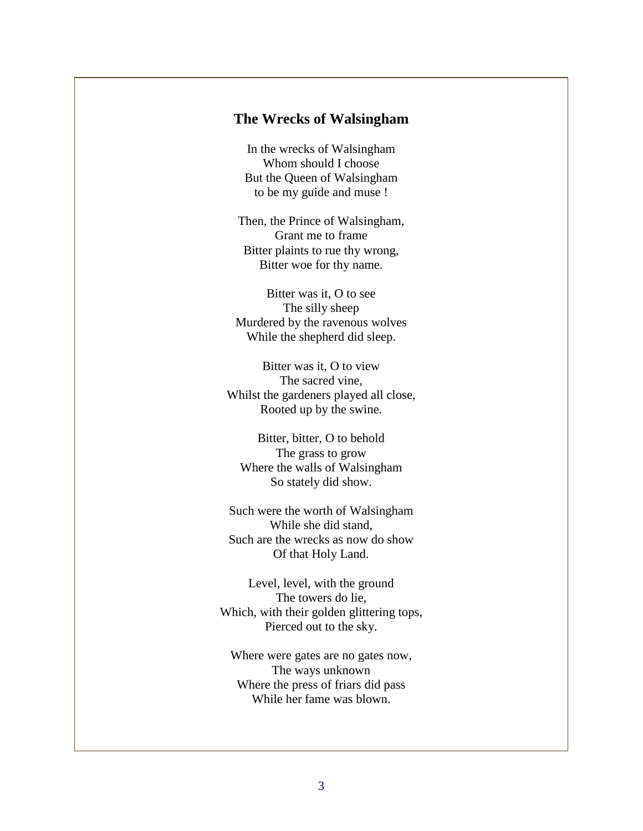#### **The Wrecks of Walsingham**

In the wrecks of Walsingham Whom should I choose But the Queen of Walsingham to be my guide and muse !

Then, the Prince of Walsingham, Grant me to frame Bitter plaints to rue thy wrong, Bitter woe for thy name.

Bitter was it, O to see The silly sheep Murdered by the ravenous wolves While the shepherd did sleep.

Bitter was it, O to view The sacred vine, Whilst the gardeners played all close, Rooted up by the swine.

Bitter, bitter, O to behold The grass to grow Where the walls of Walsingham So stately did show.

Such were the worth of Walsingham While she did stand, Such are the wrecks as now do show Of that Holy Land.

Level, level, with the ground The towers do lie, Which, with their golden glittering tops, Pierced out to the sky.

Where were gates are no gates now, The ways unknown Where the press of friars did pass While her fame was blown.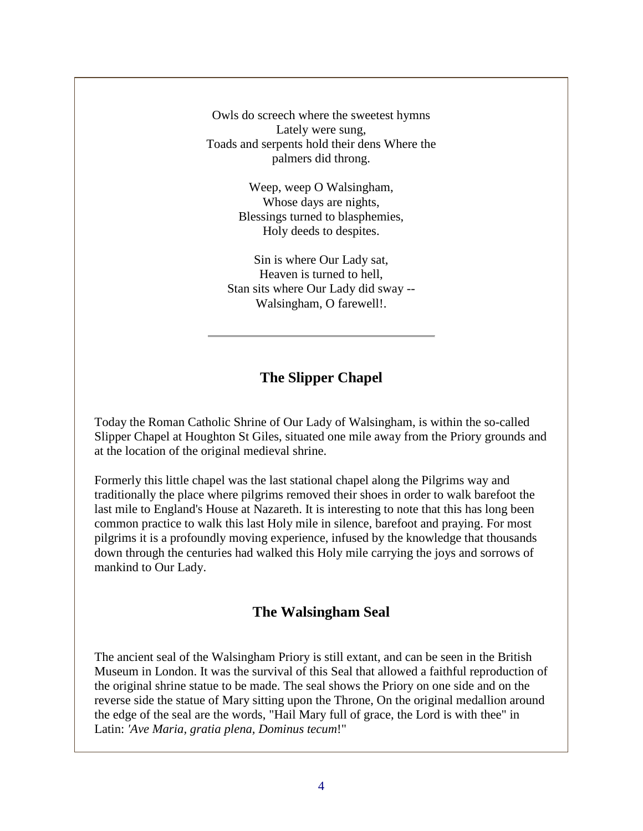Owls do screech where the sweetest hymns Lately were sung, Toads and serpents hold their dens Where the palmers did throng.

> Weep, weep O Walsingham, Whose days are nights, Blessings turned to blasphemies, Holy deeds to despites.

Sin is where Our Lady sat, Heaven is turned to hell, Stan sits where Our Lady did sway -- Walsingham, O farewell!.

# **The Slipper Chapel**

Today the Roman Catholic Shrine of Our Lady of Walsingham, is within the so-called Slipper Chapel at Houghton St Giles, situated one mile away from the Priory grounds and at the location of the original medieval shrine.

Formerly this little chapel was the last stational chapel along the Pilgrims way and traditionally the place where pilgrims removed their shoes in order to walk barefoot the last mile to England's House at Nazareth. It is interesting to note that this has long been common practice to walk this last Holy mile in silence, barefoot and praying. For most pilgrims it is a profoundly moving experience, infused by the knowledge that thousands down through the centuries had walked this Holy mile carrying the joys and sorrows of mankind to Our Lady.

#### **The Walsingham Seal**

The ancient seal of the Walsingham Priory is still extant, and can be seen in the British Museum in London. It was the survival of this Seal that allowed a faithful reproduction of the original shrine statue to be made. The seal shows the Priory on one side and on the reverse side the statue of Mary sitting upon the Throne, On the original medallion around the edge of the seal are the words, "Hail Mary full of grace, the Lord is with thee" in Latin: *'Ave Maria, gratia plena, Dominus tecum*!"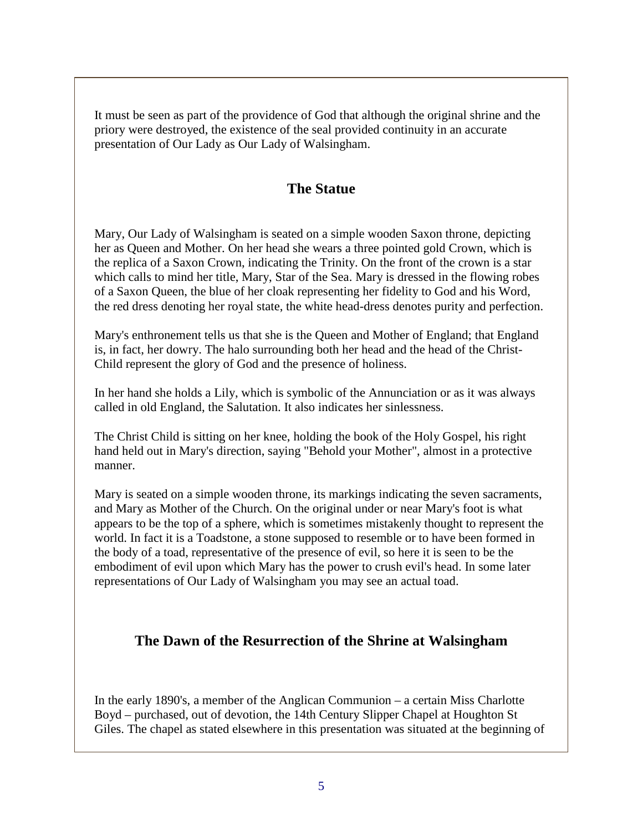It must be seen as part of the providence of God that although the original shrine and the priory were destroyed, the existence of the seal provided continuity in an accurate presentation of Our Lady as Our Lady of Walsingham.

## **The Statue**

Mary, Our Lady of Walsingham is seated on a simple wooden Saxon throne, depicting her as Queen and Mother. On her head she wears a three pointed gold Crown, which is the replica of a Saxon Crown, indicating the Trinity. On the front of the crown is a star which calls to mind her title, Mary, Star of the Sea. Mary is dressed in the flowing robes of a Saxon Queen, the blue of her cloak representing her fidelity to God and his Word, the red dress denoting her royal state, the white head-dress denotes purity and perfection.

Mary's enthronement tells us that she is the Queen and Mother of England; that England is, in fact, her dowry. The halo surrounding both her head and the head of the Christ-Child represent the glory of God and the presence of holiness.

In her hand she holds a Lily, which is symbolic of the Annunciation or as it was always called in old England, the Salutation. It also indicates her sinlessness.

The Christ Child is sitting on her knee, holding the book of the Holy Gospel, his right hand held out in Mary's direction, saying "Behold your Mother", almost in a protective manner.

Mary is seated on a simple wooden throne, its markings indicating the seven sacraments, and Mary as Mother of the Church. On the original under or near Mary's foot is what appears to be the top of a sphere, which is sometimes mistakenly thought to represent the world. In fact it is a Toadstone, a stone supposed to resemble or to have been formed in the body of a toad, representative of the presence of evil, so here it is seen to be the embodiment of evil upon which Mary has the power to crush evil's head. In some later representations of Our Lady of Walsingham you may see an actual toad.

#### **The Dawn of the Resurrection of the Shrine at Walsingham**

In the early 1890's, a member of the Anglican Communion – a certain Miss Charlotte Boyd – purchased, out of devotion, the 14th Century Slipper Chapel at Houghton St Giles. The chapel as stated elsewhere in this presentation was situated at the beginning of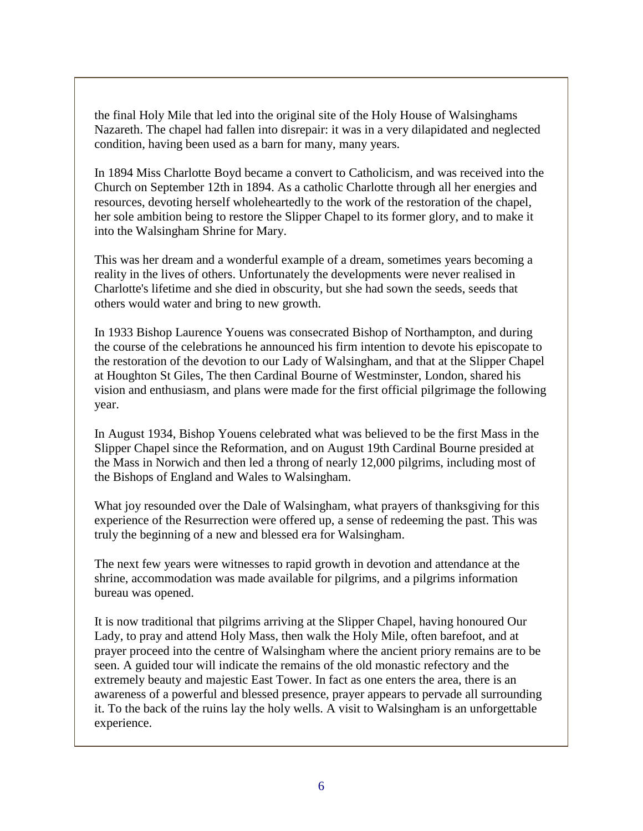the final Holy Mile that led into the original site of the Holy House of Walsinghams Nazareth. The chapel had fallen into disrepair: it was in a very dilapidated and neglected condition, having been used as a barn for many, many years.

In 1894 Miss Charlotte Boyd became a convert to Catholicism, and was received into the Church on September 12th in 1894. As a catholic Charlotte through all her energies and resources, devoting herself wholeheartedly to the work of the restoration of the chapel, her sole ambition being to restore the Slipper Chapel to its former glory, and to make it into the Walsingham Shrine for Mary.

This was her dream and a wonderful example of a dream, sometimes years becoming a reality in the lives of others. Unfortunately the developments were never realised in Charlotte's lifetime and she died in obscurity, but she had sown the seeds, seeds that others would water and bring to new growth.

In 1933 Bishop Laurence Youens was consecrated Bishop of Northampton, and during the course of the celebrations he announced his firm intention to devote his episcopate to the restoration of the devotion to our Lady of Walsingham, and that at the Slipper Chapel at Houghton St Giles, The then Cardinal Bourne of Westminster, London, shared his vision and enthusiasm, and plans were made for the first official pilgrimage the following year.

In August 1934, Bishop Youens celebrated what was believed to be the first Mass in the Slipper Chapel since the Reformation, and on August 19th Cardinal Bourne presided at the Mass in Norwich and then led a throng of nearly 12,000 pilgrims, including most of the Bishops of England and Wales to Walsingham.

What joy resounded over the Dale of Walsingham, what prayers of thanksgiving for this experience of the Resurrection were offered up, a sense of redeeming the past. This was truly the beginning of a new and blessed era for Walsingham.

The next few years were witnesses to rapid growth in devotion and attendance at the shrine, accommodation was made available for pilgrims, and a pilgrims information bureau was opened.

It is now traditional that pilgrims arriving at the Slipper Chapel, having honoured Our Lady, to pray and attend Holy Mass, then walk the Holy Mile, often barefoot, and at prayer proceed into the centre of Walsingham where the ancient priory remains are to be seen. A guided tour will indicate the remains of the old monastic refectory and the extremely beauty and majestic East Tower. In fact as one enters the area, there is an awareness of a powerful and blessed presence, prayer appears to pervade all surrounding it. To the back of the ruins lay the holy wells. A visit to Walsingham is an unforgettable experience.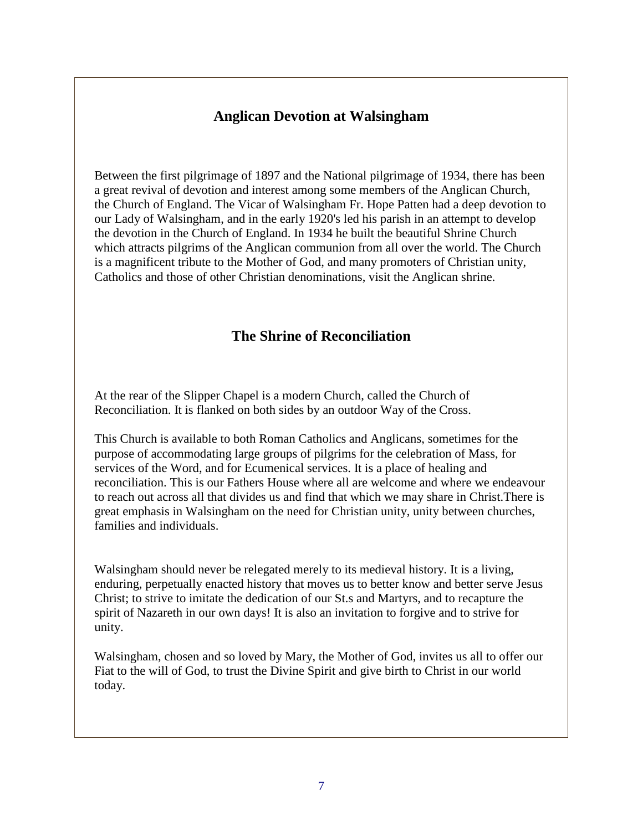### **Anglican Devotion at Walsingham**

Between the first pilgrimage of 1897 and the National pilgrimage of 1934, there has been a great revival of devotion and interest among some members of the Anglican Church, the Church of England. The Vicar of Walsingham Fr. Hope Patten had a deep devotion to our Lady of Walsingham, and in the early 1920's led his parish in an attempt to develop the devotion in the Church of England. In 1934 he built the beautiful Shrine Church which attracts pilgrims of the Anglican communion from all over the world. The Church is a magnificent tribute to the Mother of God, and many promoters of Christian unity, Catholics and those of other Christian denominations, visit the Anglican shrine.

## **The Shrine of Reconciliation**

At the rear of the Slipper Chapel is a modern Church, called the Church of Reconciliation. It is flanked on both sides by an outdoor Way of the Cross.

This Church is available to both Roman Catholics and Anglicans, sometimes for the purpose of accommodating large groups of pilgrims for the celebration of Mass, for services of the Word, and for Ecumenical services. It is a place of healing and reconciliation. This is our Fathers House where all are welcome and where we endeavour to reach out across all that divides us and find that which we may share in Christ.There is great emphasis in Walsingham on the need for Christian unity, unity between churches, families and individuals.

Walsingham should never be relegated merely to its medieval history. It is a living, enduring, perpetually enacted history that moves us to better know and better serve Jesus Christ; to strive to imitate the dedication of our St.s and Martyrs, and to recapture the spirit of Nazareth in our own days! It is also an invitation to forgive and to strive for unity.

Walsingham, chosen and so loved by Mary, the Mother of God, invites us all to offer our Fiat to the will of God, to trust the Divine Spirit and give birth to Christ in our world today.